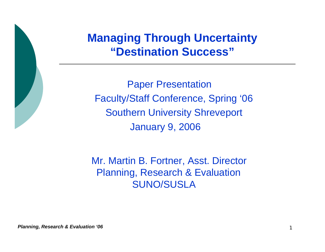## **Managing Through Uncertainty "Destination Success"**

Paper Presentation Faculty/Staff Conference, Spring '06 Southern University Shreveport January 9, 2006

Mr. Martin B. Fortner, Asst. Director Planning, Research & Evaluation SUNO/SUSLA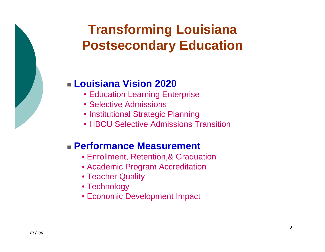# **Transforming Louisiana Postsecondary Education**

## **Louisiana Vision 2020**

- Education Learning Enterprise
- •Selective Admissions
- Institutional Strategic Planning
- •HBCU Selective Admissions Transition

### **Performance Measurement**

- Enrollment, Retention,& Graduation
- Academic Program Accreditation
- Teacher Quality
- Technology
- Economic Development Impact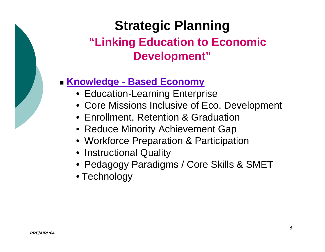# **Strategic Planning "Linking Education to Economic Development"**

## **Knowledge - Based Economy**

- Education-Learning Enterprise
- Core Missions Inclusive of Eco. Development
- Enrollment, Retention & Graduation
- Reduce Minority Achievement Gap
- Workforce Preparation & Participation
- Instructional Quality
- Pedagogy Paradigms / Core Skills & SMET
- Technology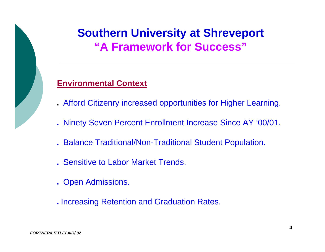# **Southern University at Shreveport "A Framework for Success"**

#### **Environmental Context**

- Afford Citizenry increased opportunities for Higher Learning.
- Ninety Seven Percent Enrollment Increase Since AY '00/01.
- Balance Traditional/Non-Traditional Student Population.
- Sensitive to Labor Market Trends.
- . Open Admissions.
- . Increasing Retention and Graduation Rates.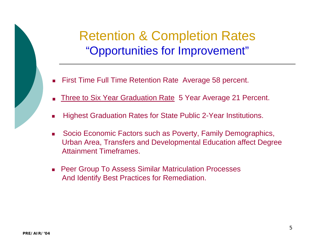# Retention & Completion Rates "Opportunities for Improvement"

- First Time Full Time Retention Rate Average 58 percent. П
- Three to Six Year Graduation Rate 5 Year Average 21 Percent. Ξ
- F Highest Graduation Rates for State Public 2-Year Institutions.
- $\mathcal{L}_{\mathcal{A}}$  Socio Economic Factors such as Poverty, Family Demographics, Urban Area, Transfers and Developmental Education affect Degree Attai nment Timeframes.
- Peer Group To Assess Similar Matriculation Processes And Identify Best Practices for Remediation.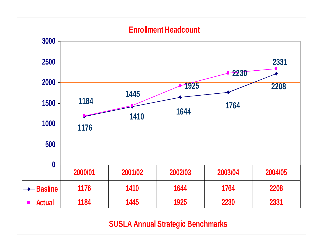#### **Enrollment Headcount**



#### **SUSLA Annual Strategic Benchmarks**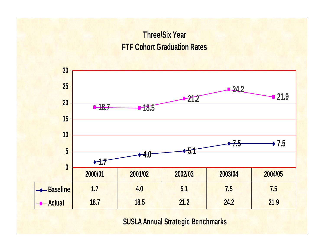## **Three/Six Year FTF Cohort Graduation Rates**



#### **SUSLA Annual Strategic Benchmarks**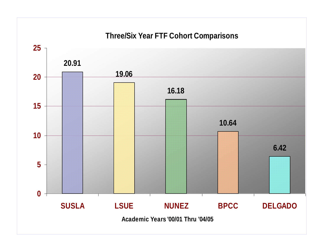#### **Three/Six Year FTF Cohort Comparisons**

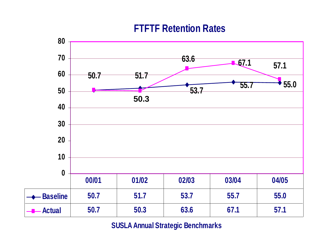## **FTFTF Retention Rates**



#### **SUSLA Annual Strategic Benchmarks**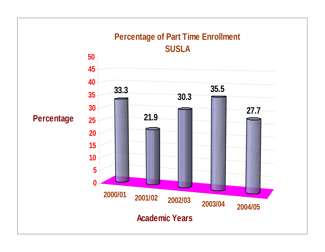#### **2000/01 2001/02 2002/03 2003/04 2004/05 33.321.9 30.3 35.5 27.70510 15 20 25 30 35 40 4550 Percentage Percentage of Part Time Enrollment SUSLA**

**Academic Years**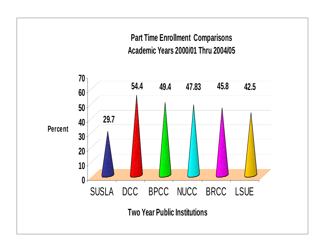## **Part Time Enrollment Comparisons Academic Years 2000/01 Thru 2004/05**

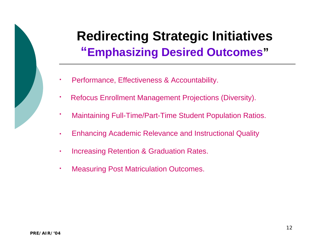# **Redirecting Strategic Initiatives "Emphasizing Desired Outcomes "**

- Performance, Effectiveness & Accountability. F
- Refocus Enrollment Management Projections (Diversity). F
- Maintaining Full-Time/Part-Time Student Population Ratios. F
- Enhancing Academic Relevance and Instructional Quality à.
- Increasing Retention & Graduation Rates. F
- Measuring Post Matriculation Outcomes. ×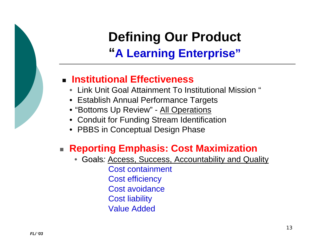# **Defining Our Product "A Learning Enterprise"**

## **Institutional Effectiveness**

- Link Unit Goal Attainment To Institutional Mission "
- Establish Annual Performance Targets
- "Bottoms Up Review" All Operations
- Conduit for Funding Stream Identification
- PBBS in Conceptual Design Phase

## **Reporting Emphasis: Cost Maximization**

• Goals*:* Access, Success, Accountability and Quality Cost containment Cost efficiency Cost avoidanceCost liability Value Added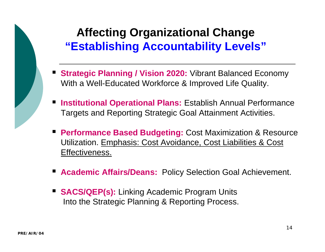# **Affecting Organizational Change "Establishing Accountability Levels"**

- **Strategic Planning / Vision 2020:** Vibrant Balanced Economy With a Well-Educated Workforce & Improved Life Quality.
- **Institutional Operational Plans:** Establish Annual Performance Targets and Reporting Strategic Goal Attainment Activities.  $\blacksquare$
- **Performance Based Budgeting:** Cost Maximization & Resource Utilization. <u>Emphasis: Cost Avoidance, Cost Liabilities & Cost</u> Effectiveness.
- **Academic Affairs/Deans: Policy Selection Goal Achievement.**
- **SACS/QEP(s):** Linking Academic Program Units Into the Strategic Planning & Reporting Process.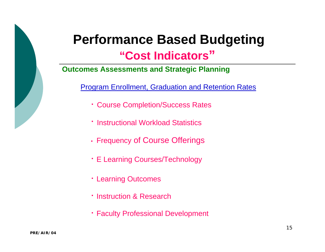# **Performance Based Budgeting**

# **"Cost Indicators"**

#### **Outcomes Assessments and Strategic Planning**

Program Enrollment, Graduation and Retention Rates

- Course Completion/Success Rates
- Instructional Workload Statistics
- Frequency of C ours e Offerin g s
- E Learning Courses/Technology
- Learning Outcomes
- **· Instruction & Research**
- Faculty Professional Development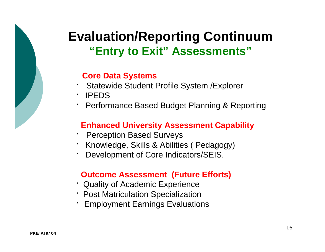# **Evaluation/Reporting Continuum "Entry to Exit" Assessments"**

#### **Core Data Systems**

- Statewide Student Profile System /Explorer Г
- · IPEDS
- Performance Based Budget Planning & Reporting

#### **Enhanced University Assessment Capability**

- Perception Based Surveys г
- Knowledge, Skills & Abilities ( Pedagogy)
- Development of Core Indicators/SEIS. г

#### **Outcome Assessment (Future Efforts)**

- **Quality of Academic Experience**
- Post Matriculation Specialization
- Employment Earnings Evaluations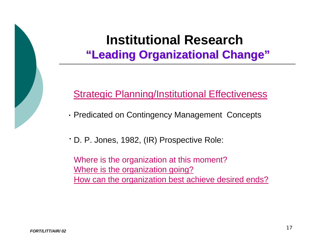# **Institutional Research"Leading Organizational Change"**

Strategic Planning/Institutional Effectiveness

- Predicated on Contingency Management Concepts
- D. P. Jones, 1982, (IR) Prospective Role:

Where is the organiz ation at this moment? Where is the organization going? How can the organiz ation best achieve desired ends?